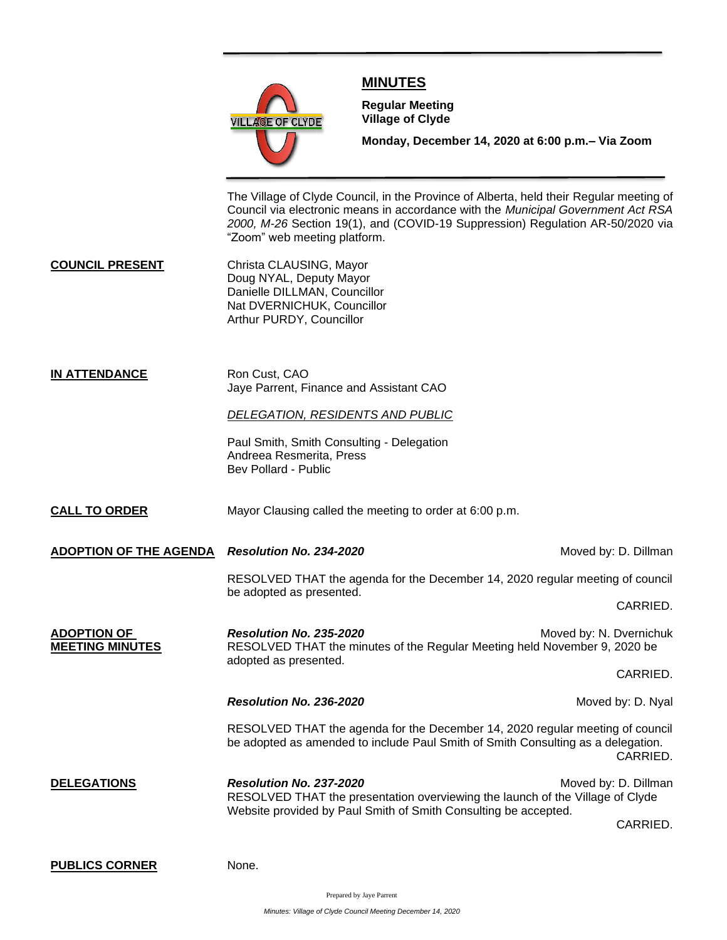

## **MINUTES**

**Meeting**

**Regular Meeting Village of Clyde**

**Monday, December 14, 2020 at 6:00 p.m.– Via Zoom** 

The Village of Clyde Council, in the Province of Alberta, held their Regular meeting of Council via electronic means in accordance with the *Municipal Government Act RSA 2000, M-26* Section 19(1), and (COVID-19 Suppression) Regulation AR-50/2020 via "Zoom" web meeting platform.

**COUNCIL PRESENT** Christa CLAUSING, Mayor Doug NYAL, Deputy Mayor Danielle DILLMAN, Councillor Nat DVERNICHUK, Councillor Arthur PURDY, Councillor

## **IN ATTENDANCE** Ron Cust, CAO Jaye Parrent, Finance and Assistant CAO

## *DELEGATION, RESIDENTS AND PUBLIC*

Paul Smith, Smith Consulting - Delegation Andreea Resmerita, Press Bev Pollard - Public

**CALL TO ORDER** Mayor Clausing called the meeting to order at 6:00 p.m.

**ADOPTION OF THE AGENDA** *Resolution No. 234-2020* **Moved by: D. Dillman** *Resolution No. 234-2020* 

RESOLVED THAT the agenda for the December 14, 2020 regular meeting of council be adopted as presented.

CARRIED.

**ADOPTION OF Resolution No. 235-2020** Moved by: N. Dvernichuk **MEETING MINUTES** RESOLVED THAT the minutes of the Regular Meeting held November 9, 2020 be adopted as presented.

CARRIED.

**Resolution No. 236-2020** Moved by: D. Nyal

RESOLVED THAT the agenda for the December 14, 2020 regular meeting of council be adopted as amended to include Paul Smith of Smith Consulting as a delegation. CARRIED.

**DELEGATIONS** *Resolution No. 237-2020* **<b>***Resolution No. 237-2020* Moved by: D. Dillman RESOLVED THAT the presentation overviewing the launch of the Village of Clyde Website provided by Paul Smith of Smith Consulting be accepted.

CARRIED.

**PUBLICS CORNER** None.

Prepared by Jaye Parrent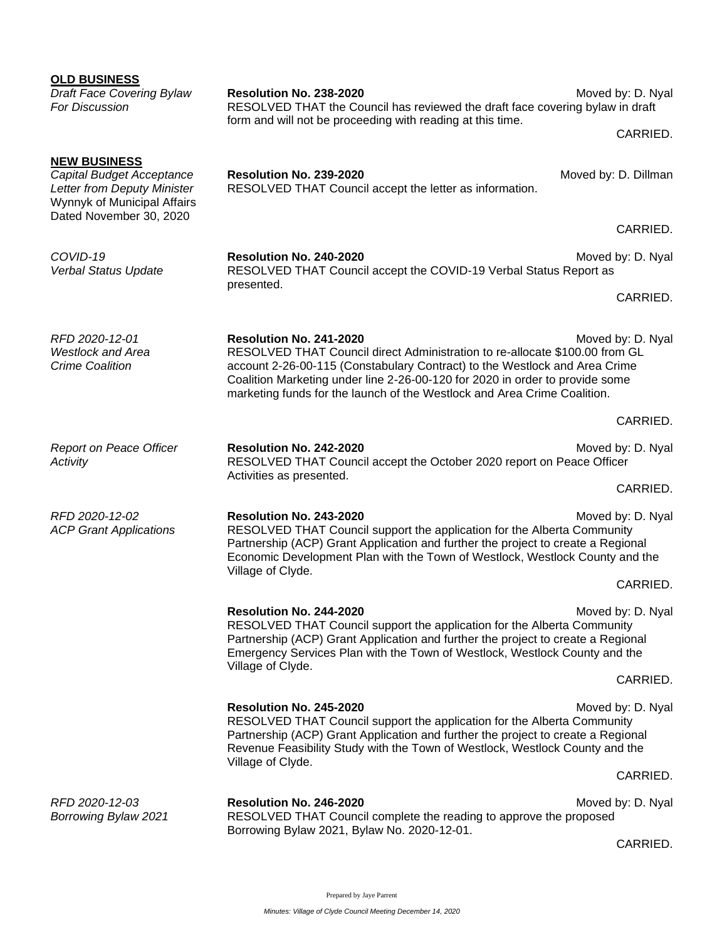| <b>OLD BUSINESS</b><br><b>Draft Face Covering Bylaw</b><br>For Discussion                                                                 | Resolution No. 238-2020<br>RESOLVED THAT the Council has reviewed the draft face covering bylaw in draft<br>form and will not be proceeding with reading at this time.                                                                                                                                                                                                | Moved by: D. Nyal<br>CARRIED. |
|-------------------------------------------------------------------------------------------------------------------------------------------|-----------------------------------------------------------------------------------------------------------------------------------------------------------------------------------------------------------------------------------------------------------------------------------------------------------------------------------------------------------------------|-------------------------------|
| <b>NEW BUSINESS</b><br>Capital Budget Acceptance<br>Letter from Deputy Minister<br>Wynnyk of Municipal Affairs<br>Dated November 30, 2020 | Resolution No. 239-2020<br>RESOLVED THAT Council accept the letter as information.                                                                                                                                                                                                                                                                                    | Moved by: D. Dillman          |
|                                                                                                                                           |                                                                                                                                                                                                                                                                                                                                                                       | CARRIED.                      |
| COVID-19<br>Verbal Status Update                                                                                                          | Resolution No. 240-2020<br>RESOLVED THAT Council accept the COVID-19 Verbal Status Report as<br>presented.                                                                                                                                                                                                                                                            | Moved by: D. Nyal             |
|                                                                                                                                           |                                                                                                                                                                                                                                                                                                                                                                       | CARRIED.                      |
| RFD 2020-12-01<br><b>Westlock and Area</b><br><b>Crime Coalition</b>                                                                      | Resolution No. 241-2020<br>Moved by: D. Nyal<br>RESOLVED THAT Council direct Administration to re-allocate \$100.00 from GL<br>account 2-26-00-115 (Constabulary Contract) to the Westlock and Area Crime<br>Coalition Marketing under line 2-26-00-120 for 2020 in order to provide some<br>marketing funds for the launch of the Westlock and Area Crime Coalition. |                               |
|                                                                                                                                           |                                                                                                                                                                                                                                                                                                                                                                       | CARRIED.                      |
| Report on Peace Officer<br>Activity                                                                                                       | Resolution No. 242-2020<br>RESOLVED THAT Council accept the October 2020 report on Peace Officer<br>Activities as presented.                                                                                                                                                                                                                                          | Moved by: D. Nyal             |
|                                                                                                                                           |                                                                                                                                                                                                                                                                                                                                                                       | CARRIED.                      |
| RFD 2020-12-02<br><b>ACP Grant Applications</b>                                                                                           | Resolution No. 243-2020<br>Moved by: D. Nyal<br>RESOLVED THAT Council support the application for the Alberta Community<br>Partnership (ACP) Grant Application and further the project to create a Regional<br>Economic Development Plan with the Town of Westlock, Westlock County and the<br>Village of Clyde.                                                      |                               |
|                                                                                                                                           |                                                                                                                                                                                                                                                                                                                                                                       | CARRIED.                      |
|                                                                                                                                           | <b>Resolution No. 244-2020</b><br>RESOLVED THAT Council support the application for the Alberta Community<br>Partnership (ACP) Grant Application and further the project to create a Regional<br>Emergency Services Plan with the Town of Westlock, Westlock County and the                                                                                           | Moved by: D. Nyal             |
|                                                                                                                                           | Village of Clyde.                                                                                                                                                                                                                                                                                                                                                     | CARRIED.                      |
|                                                                                                                                           | Resolution No. 245-2020<br>Moved by: D. Nyal<br>RESOLVED THAT Council support the application for the Alberta Community<br>Partnership (ACP) Grant Application and further the project to create a Regional<br>Revenue Feasibility Study with the Town of Westlock, Westlock County and the<br>Village of Clyde.                                                      |                               |
|                                                                                                                                           |                                                                                                                                                                                                                                                                                                                                                                       | CARRIED.                      |
| RFD 2020-12-03<br>Borrowing Bylaw 2021                                                                                                    | Resolution No. 246-2020<br>RESOLVED THAT Council complete the reading to approve the proposed<br>Borrowing Bylaw 2021, Bylaw No. 2020-12-01.                                                                                                                                                                                                                          | Moved by: D. Nyal             |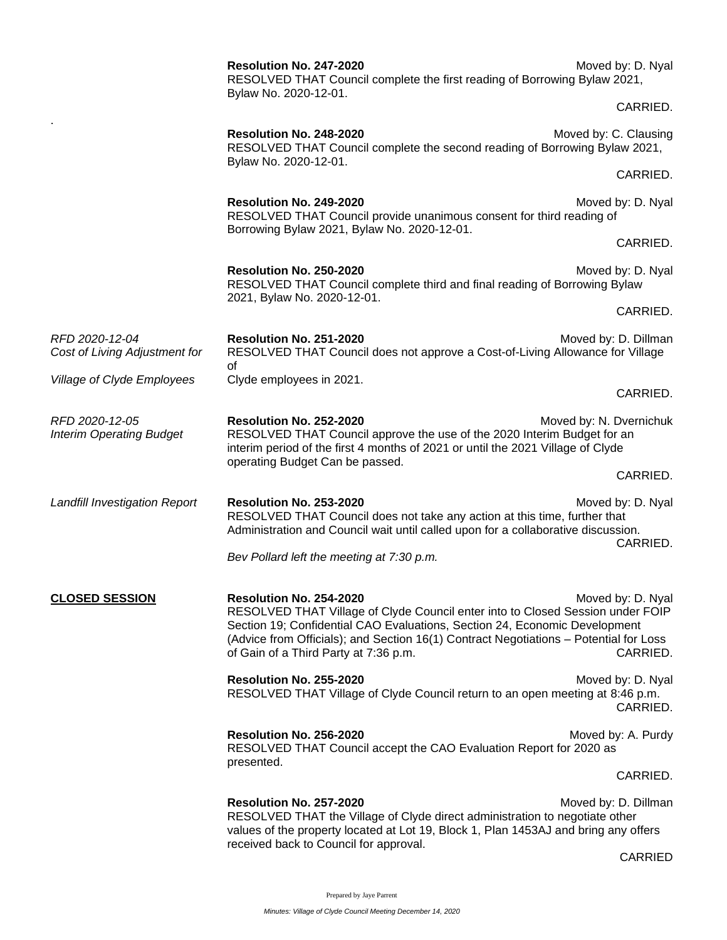|                                                   | Resolution No. 247-2020<br>RESOLVED THAT Council complete the first reading of Borrowing Bylaw 2021,<br>Bylaw No. 2020-12-01.                                                                                                                                                                                             | Moved by: D. Nyal             |
|---------------------------------------------------|---------------------------------------------------------------------------------------------------------------------------------------------------------------------------------------------------------------------------------------------------------------------------------------------------------------------------|-------------------------------|
|                                                   |                                                                                                                                                                                                                                                                                                                           | CARRIED.                      |
|                                                   | Resolution No. 248-2020<br>RESOLVED THAT Council complete the second reading of Borrowing Bylaw 2021,<br>Bylaw No. 2020-12-01.                                                                                                                                                                                            | Moved by: C. Clausing         |
|                                                   |                                                                                                                                                                                                                                                                                                                           | CARRIED.                      |
|                                                   | Resolution No. 249-2020<br>RESOLVED THAT Council provide unanimous consent for third reading of                                                                                                                                                                                                                           | Moved by: D. Nyal             |
|                                                   | Borrowing Bylaw 2021, Bylaw No. 2020-12-01.                                                                                                                                                                                                                                                                               | CARRIED.                      |
|                                                   | Resolution No. 250-2020<br>RESOLVED THAT Council complete third and final reading of Borrowing Bylaw                                                                                                                                                                                                                      | Moved by: D. Nyal             |
|                                                   | 2021, Bylaw No. 2020-12-01.                                                                                                                                                                                                                                                                                               | CARRIED.                      |
| RFD 2020-12-04<br>Cost of Living Adjustment for   | Resolution No. 251-2020<br>RESOLVED THAT Council does not approve a Cost-of-Living Allowance for Village<br>of                                                                                                                                                                                                            | Moved by: D. Dillman          |
| <b>Village of Clyde Employees</b>                 | Clyde employees in 2021.                                                                                                                                                                                                                                                                                                  | CARRIED.                      |
| RFD 2020-12-05<br><b>Interim Operating Budget</b> | Resolution No. 252-2020<br>Moved by: N. Dvernichuk<br>RESOLVED THAT Council approve the use of the 2020 Interim Budget for an<br>interim period of the first 4 months of 2021 or until the 2021 Village of Clyde                                                                                                          |                               |
|                                                   | operating Budget Can be passed.                                                                                                                                                                                                                                                                                           | CARRIED.                      |
| <b>Landfill Investigation Report</b>              | Resolution No. 253-2020<br>RESOLVED THAT Council does not take any action at this time, further that<br>Administration and Council wait until called upon for a collaborative discussion.                                                                                                                                 | Moved by: D. Nyal<br>CARRIED. |
|                                                   | Bev Pollard left the meeting at 7:30 p.m.                                                                                                                                                                                                                                                                                 |                               |
| <u>CLOSED SESSION</u>                             | Resolution No. 254-2020<br>RESOLVED THAT Village of Clyde Council enter into to Closed Session under FOIP<br>Section 19; Confidential CAO Evaluations, Section 24, Economic Development<br>(Advice from Officials); and Section 16(1) Contract Negotiations - Potential for Loss<br>of Gain of a Third Party at 7:36 p.m. | Moved by: D. Nyal<br>CARRIED. |
|                                                   | Resolution No. 255-2020<br>RESOLVED THAT Village of Clyde Council return to an open meeting at 8:46 p.m.                                                                                                                                                                                                                  | Moved by: D. Nyal<br>CARRIED. |
|                                                   | Resolution No. 256-2020<br>RESOLVED THAT Council accept the CAO Evaluation Report for 2020 as<br>presented.                                                                                                                                                                                                               | Moved by: A. Purdy            |
|                                                   |                                                                                                                                                                                                                                                                                                                           | CARRIED.                      |
|                                                   | Resolution No. 257-2020<br>RESOLVED THAT the Village of Clyde direct administration to negotiate other<br>values of the property located at Lot 19, Block 1, Plan 1453AJ and bring any offers<br>received back to Council for approval.                                                                                   | Moved by: D. Dillman          |
|                                                   |                                                                                                                                                                                                                                                                                                                           | <b>CARRIED</b>                |

Prepared by Jaye Parrent